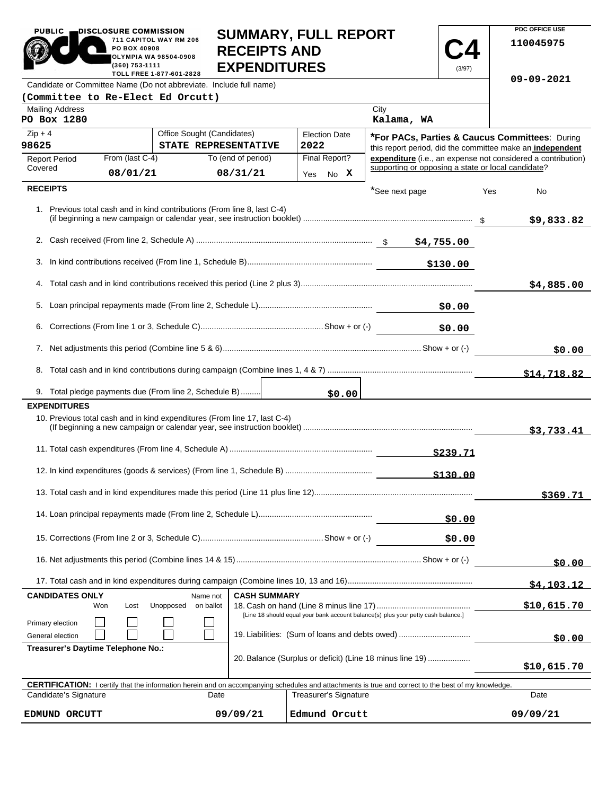|                                                                                                                            | PO BOX 40908<br>(360) 753-1111                                     | 711 CAPITOL WAY RM 206<br><b>OLYMPIA WA 98504-0908</b><br>TOLL FREE 1-877-601-2828 | <b>RECEIPTS AND</b><br><b>EXPENDITURES</b> | <b>SUIVIIVIAR I, FULL REFURI</b>                                                                                                                           |                                                    | (3/97)          | 110045975                                                    |
|----------------------------------------------------------------------------------------------------------------------------|--------------------------------------------------------------------|------------------------------------------------------------------------------------|--------------------------------------------|------------------------------------------------------------------------------------------------------------------------------------------------------------|----------------------------------------------------|-----------------|--------------------------------------------------------------|
|                                                                                                                            |                                                                    | Candidate or Committee Name (Do not abbreviate. Include full name)                 |                                            |                                                                                                                                                            |                                                    |                 | 09-09-2021                                                   |
| (Committee to Re-Elect Ed Orcutt)                                                                                          |                                                                    |                                                                                    |                                            |                                                                                                                                                            |                                                    |                 |                                                              |
| <b>Mailing Address</b><br>PO Box 1280                                                                                      |                                                                    |                                                                                    |                                            |                                                                                                                                                            | City<br>Kalama, WA                                 |                 |                                                              |
| $Zip + 4$                                                                                                                  |                                                                    | Office Sought (Candidates)                                                         |                                            | <b>Election Date</b>                                                                                                                                       |                                                    |                 | *For PACs, Parties & Caucus Committees: During               |
| 98625                                                                                                                      |                                                                    | STATE REPRESENTATIVE                                                               |                                            | 2022                                                                                                                                                       |                                                    |                 | this report period, did the committee make an independent    |
| <b>Report Period</b>                                                                                                       | From (last C-4)                                                    |                                                                                    | To (end of period)                         | Final Report?                                                                                                                                              |                                                    |                 | expenditure (i.e., an expense not considered a contribution) |
| Covered                                                                                                                    | 08/01/21                                                           |                                                                                    | 08/31/21                                   | No X<br>Yes                                                                                                                                                | supporting or opposing a state or local candidate? |                 |                                                              |
| <b>RECEIPTS</b>                                                                                                            |                                                                    |                                                                                    |                                            |                                                                                                                                                            | *See next page                                     |                 | Yes<br>No                                                    |
|                                                                                                                            |                                                                    | 1. Previous total cash and in kind contributions (From line 8, last C-4)           |                                            |                                                                                                                                                            |                                                    |                 | \$9,833.82                                                   |
|                                                                                                                            |                                                                    |                                                                                    |                                            |                                                                                                                                                            |                                                    |                 |                                                              |
| 3.                                                                                                                         |                                                                    |                                                                                    |                                            |                                                                                                                                                            |                                                    | \$130.00        |                                                              |
|                                                                                                                            |                                                                    |                                                                                    |                                            |                                                                                                                                                            |                                                    |                 | \$4,885.00                                                   |
| 5.                                                                                                                         |                                                                    |                                                                                    |                                            |                                                                                                                                                            |                                                    | \$0.00          |                                                              |
| 6.                                                                                                                         |                                                                    |                                                                                    |                                            |                                                                                                                                                            |                                                    | \$0.00          |                                                              |
|                                                                                                                            |                                                                    |                                                                                    |                                            |                                                                                                                                                            |                                                    |                 | \$0.00                                                       |
|                                                                                                                            |                                                                    |                                                                                    |                                            |                                                                                                                                                            |                                                    |                 | \$14,718.82                                                  |
|                                                                                                                            |                                                                    | 9. Total pledge payments due (From line 2, Schedule B)                             |                                            |                                                                                                                                                            |                                                    |                 |                                                              |
| <b>EXPENDITURES</b>                                                                                                        |                                                                    |                                                                                    |                                            | \$0.00                                                                                                                                                     |                                                    |                 |                                                              |
|                                                                                                                            |                                                                    | 10. Previous total cash and in kind expenditures (From line 17, last C-4)          |                                            |                                                                                                                                                            |                                                    |                 | \$3,733.41                                                   |
|                                                                                                                            |                                                                    |                                                                                    |                                            |                                                                                                                                                            |                                                    | <u>\$239.71</u> |                                                              |
|                                                                                                                            |                                                                    |                                                                                    |                                            |                                                                                                                                                            |                                                    | \$130.00        |                                                              |
|                                                                                                                            |                                                                    |                                                                                    |                                            |                                                                                                                                                            |                                                    |                 | \$369.71                                                     |
|                                                                                                                            |                                                                    |                                                                                    |                                            |                                                                                                                                                            |                                                    | \$0.00          |                                                              |
|                                                                                                                            |                                                                    |                                                                                    |                                            |                                                                                                                                                            |                                                    | \$0.00          |                                                              |
|                                                                                                                            |                                                                    |                                                                                    |                                            |                                                                                                                                                            |                                                    |                 | \$0.00                                                       |
|                                                                                                                            |                                                                    |                                                                                    |                                            |                                                                                                                                                            |                                                    |                 | <u>\$4,103.12</u>                                            |
| <b>CANDIDATES ONLY</b>                                                                                                     |                                                                    | Name not                                                                           | <b>CASH SUMMARY</b>                        |                                                                                                                                                            |                                                    |                 | \$10,615.70                                                  |
| Unopposed<br>on ballot<br>Won<br>Lost<br>[Line 18 should equal your bank account balance(s) plus your petty cash balance.] |                                                                    |                                                                                    |                                            |                                                                                                                                                            |                                                    |                 |                                                              |
| General election                                                                                                           | Primary election<br>19. Liabilities: (Sum of loans and debts owed) |                                                                                    |                                            |                                                                                                                                                            |                                                    | \$0.00          |                                                              |
| Treasurer's Daytime Telephone No.:                                                                                         |                                                                    |                                                                                    |                                            |                                                                                                                                                            |                                                    |                 |                                                              |
| 20. Balance (Surplus or deficit) (Line 18 minus line 19)                                                                   |                                                                    |                                                                                    |                                            |                                                                                                                                                            |                                                    | \$10,615.70     |                                                              |
|                                                                                                                            |                                                                    |                                                                                    |                                            | <b>CERTIFICATION:</b> I certify that the information herein and on accompanying schedules and attachments is true and correct to the best of my knowledge. |                                                    |                 |                                                              |
| Candidate's Signature                                                                                                      |                                                                    | Date                                                                               |                                            | <b>Treasurer's Signature</b>                                                                                                                               |                                                    |                 | Date                                                         |
| EDMUND ORCUTT                                                                                                              |                                                                    |                                                                                    | 09/09/21                                   | Edmund Orcutt                                                                                                                                              |                                                    |                 | 09/09/21                                                     |

**SUMMARY, FULL REPORT** 

**PDC OFFICE USE** 

PUBLIC DISCLOSURE COMMISSION<br>711 CAPITOL WAY RM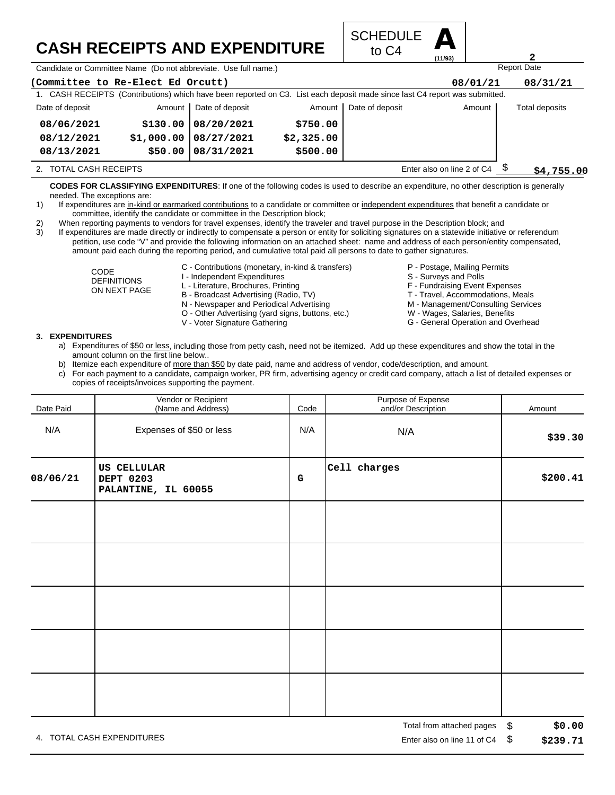## **CASH RECEIPTS AND EXPENDITURE**



Candidate or Committee Name (Do not abbreviate. Use full name.)

| (Committee to Re-Elect Ed Orcutt)                                                                                           |            |                        |            |                 | 08/01/21   | 08/31/21       |  |
|-----------------------------------------------------------------------------------------------------------------------------|------------|------------------------|------------|-----------------|------------|----------------|--|
| 1. CASH RECEIPTS (Contributions) which have been reported on C3. List each deposit made since last C4 report was submitted. |            |                        |            |                 |            |                |  |
| Date of deposit                                                                                                             |            | Amount Date of deposit | Amount     | Date of deposit | Amount     | Total deposits |  |
| 08/06/2021                                                                                                                  | \$130.00   | 08/20/2021             | \$750.00   |                 |            |                |  |
| 08/12/2021                                                                                                                  | \$1,000.00 | 08/27/2021             | \$2,325.00 |                 |            |                |  |
| 08/13/2021                                                                                                                  | \$50.00    | 08/31/2021             | \$500.00   |                 |            |                |  |
| Enter also on line 2 of C4<br>2. TOTAL CASH RECEIPTS                                                                        |            |                        |            |                 | \$4.755.00 |                |  |

**CODES FOR CLASSIFYING EXPENDITURES**: If one of the following codes is used to describe an expenditure, no other description is generally needed. The exceptions are:

- 1) If expenditures are in-kind or earmarked contributions to a candidate or committee or independent expenditures that benefit a candidate or committee, identify the candidate or committee in the Description block;
- 2) When reporting payments to vendors for travel expenses, identify the traveler and travel purpose in the Description block; and

3) If expenditures are made directly or indirectly to compensate a person or entity for soliciting signatures on a statewide initiative or referendum petition, use code "V" and provide the following information on an attached sheet: name and address of each person/entity compensated, amount paid each during the reporting period, and cumulative total paid all persons to date to gather signatures.

- CODE DEFINITIONS ON NEXT PAGE
- C Contributions (monetary, in-kind & transfers)
- I Independent Expenditures
- L Literature, Brochures, Printing
- B Broadcast Advertising (Radio, TV)
- N Newspaper and Periodical Advertising
- O Other Advertising (yard signs, buttons, etc.)
- V Voter Signature Gathering
- P Postage, Mailing Permits
- S Surveys and Polls
- F Fundraising Event Expenses
- T Travel, Accommodations, Meals
- M Management/Consulting Services

Report Date

**2**

- W Wages, Salaries, Benefits
- G General Operation and Overhead

## **3. EXPENDITURES**

- a) Expenditures of \$50 or less, including those from petty cash, need not be itemized. Add up these expenditures and show the total in the amount column on the first line below..
- b) Itemize each expenditure of more than \$50 by date paid, name and address of vendor, code/description, and amount.
- c) For each payment to a candidate, campaign worker, PR firm, advertising agency or credit card company, attach a list of detailed expenses or copies of receipts/invoices supporting the payment.

| Date Paid | Vendor or Recipient<br>(Name and Address)              | Code      | Purpose of Expense<br>and/or Description | Amount     |
|-----------|--------------------------------------------------------|-----------|------------------------------------------|------------|
| N/A       | Expenses of \$50 or less                               | N/A       | N/A                                      | \$39.30    |
| 08/06/21  | <b>US CELLULAR</b><br>DEPT 0203<br>PALANTINE, IL 60055 | ${\bf G}$ | Cell charges                             | \$200.41   |
|           |                                                        |           |                                          |            |
|           |                                                        |           |                                          |            |
|           |                                                        |           |                                          |            |
|           |                                                        |           |                                          |            |
|           |                                                        |           |                                          |            |
|           |                                                        |           |                                          | $\uparrow$ |

4. TOTAL CASH EXPENDITURES **EXAMPLE 2008** 2012 12:00 THE RISP ON LINE 2012 12:00 THE RISP ON LINE 11 Of C4 \$